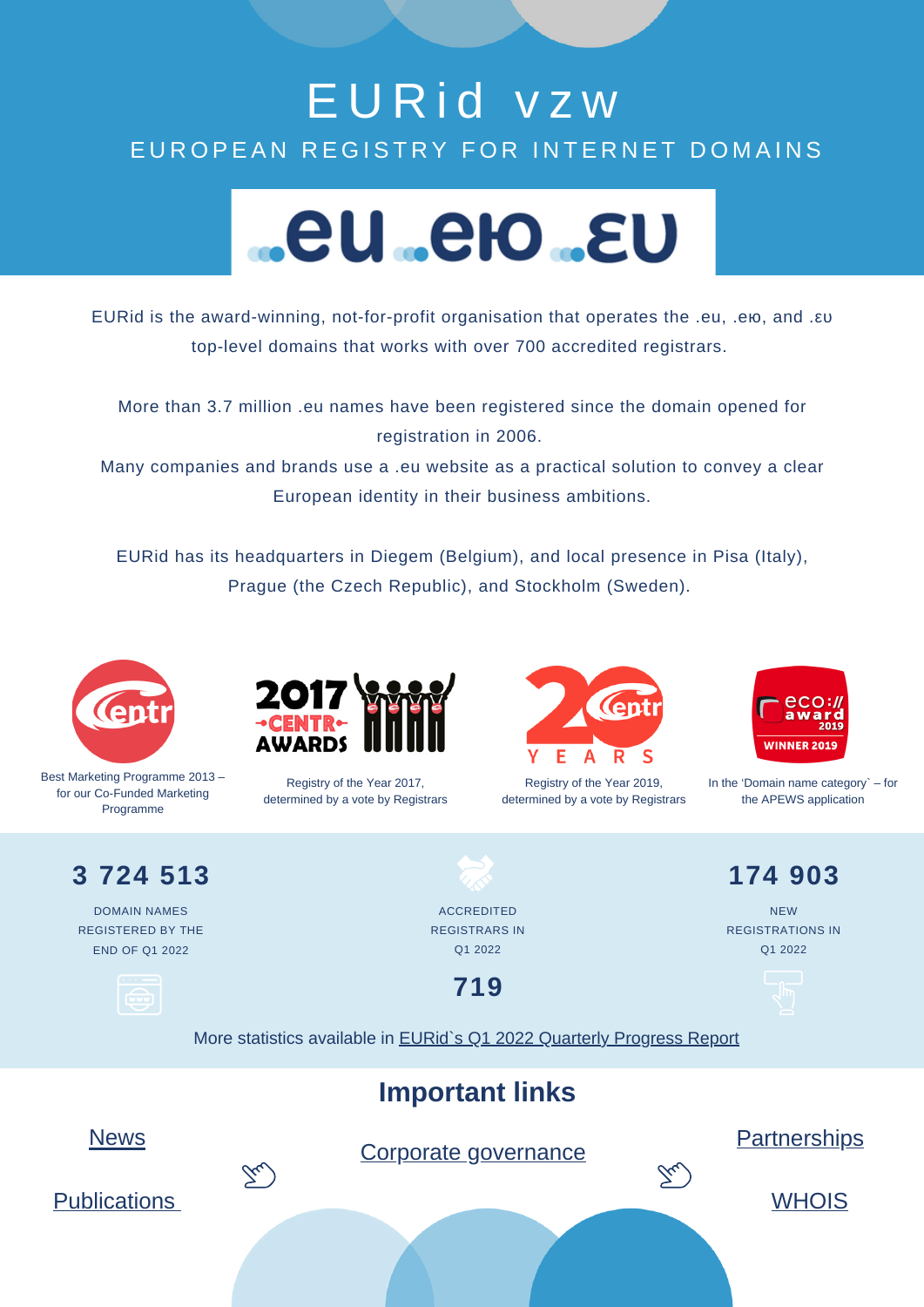## E U R i d v z w EUROPEAN REGISTRY FOR INTERNET DOMAINS



EURid is the award-winning, not-for-profit organisation that operates the .eu, .ею, and .ευ top-level domains that works with over 700 accredited registrars.

More than 3.7 million .eu names have been registered since the domain opened for registration in 2006.

Many companies and brands use a .eu website as a practical solution to convey a clear European identity in their business ambitions.

EURid has its headquarters in Diegem (Belgium), and local presence in Pisa (Italy), Prague (the Czech Republic), and Stockholm (Sweden).



Best Marketing Programme 2013 – for our Co-Funded Marketing Programme



Registry of the Year 2017, determined by a vote by Registrars



Registry of the Year 2019, determined by a vote by Registrars



In the 'Domain name category` – for the APEWS application

**3 724 513**

DOMAIN NAMES REGISTERED BY THE END OF Q1 2022

ACCREDITED REGISTRARS IN Q1 2022

**719**

**174 903** NEW REGISTRATIONS IN

Q1 2022

More statistics available in **EURid**'s Q1 2022 [Quarterly](https://eurid.eu/media/filer_public/9c/44/9c4411cc-c5de-4b7f-9771-6eafc58bbfec/quarterly_report_q12022.pdf) Progress Report

## **Important links**



Corporate [governance](https://eurid.eu/en/welcome-to-eurid/corporate-governance/)





**[WHOIS](https://whois.eurid.eu/en/)** 

[Publications](https://eurid.eu/en/welcome-to-eurid/publications/)